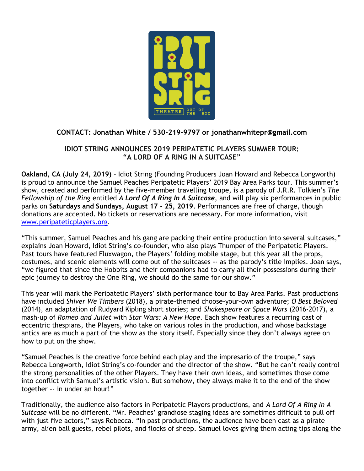

# **CONTACT: Jonathan White / 530-219-9797 or jonathanwhitepr@gmail.com**

# **IDIOT STRING ANNOUNCES 2019 PERIPATETIC PLAYERS SUMMER TOUR: "A LORD OF A RING IN A SUITCASE"**

**Oakland, CA (July 24, 2019)** – Idiot String (Founding Producers Joan Howard and Rebecca Longworth) is proud to announce the Samuel Peaches Peripatetic Players' 2019 Bay Area Parks tour. This summer's show, created and performed by the five-member travelling troupe, is a parody of J.R.R. Tolkien's *The Fellowship of the Ring* entitled *A Lord Of A Ring In A Suitcase*, and will play six performances in public parks on **Saturdays and Sundays, August 17 - 25, 2019**. Performances are free of charge, though donations are accepted. No tickets or reservations are necessary. For more information, visit [www.peripateticplayers.org.](http://www.peripateticplayers.org/)

"This summer, Samuel Peaches and his gang are packing their entire production into several suitcases," explains Joan Howard, Idiot String's co-founder, who also plays Thumper of the Peripatetic Players. Past tours have featured Fluxwagon, the Players' folding mobile stage, but this year all the props, costumes, and scenic elements will come out of the suitcases -- as the parody's title implies. Joan says, "we figured that since the Hobbits and their companions had to carry all their possessions during their epic journey to destroy the One Ring, we should do the same for our show."

This year will mark the Peripatetic Players' sixth performance tour to Bay Area Parks. Past productions have included *Shiver We Timbers* (2018), a pirate-themed choose-your-own adventure; *O Best Beloved* (2014), an adaptation of Rudyard Kipling short stories; and *Shakespeare or Space Wars* (2016-2017), a mash-up of *Romeo and Juliet* with *Star Wars: A New Hope.* Each show features a recurring cast of eccentric thespians, the Players, who take on various roles in the production, and whose backstage antics are as much a part of the show as the story itself. Especially since they don't always agree on how to put on the show.

"Samuel Peaches is the creative force behind each play and the impresario of the troupe," says Rebecca Longworth, Idiot String's co-founder and the director of the show. "But he can't really control the strong personalities of the other Players. They have their own ideas, and sometimes those come into conflict with Samuel's artistic vision. But somehow, they always make it to the end of the show together -- in under an hour!"

Traditionally, the audience also factors in Peripatetic Players productions, and *A Lord Of A Ring In A Suitcase* will be no different. "Mr. Peaches' grandiose staging ideas are sometimes difficult to pull off with just five actors," says Rebecca. "In past productions, the audience have been cast as a pirate army, alien ball guests, rebel pilots, and flocks of sheep. Samuel loves giving them acting tips along the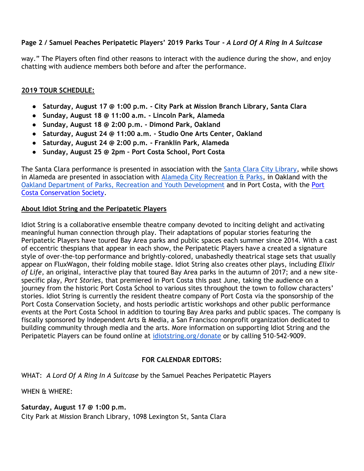## **Page 2 / Samuel Peaches Peripatetic Players' 2019 Parks Tour -** *A Lord Of A Ring In A Suitcase*

way." The Players often find other reasons to interact with the audience during the show, and enjoy chatting with audience members both before and after the performance.

#### **2019 TOUR SCHEDULE:**

- **Saturday, August 17 @ 1:00 p.m. - City Park at Mission Branch Library, Santa Clara**
- **Sunday, August 18 @ 11:00 a.m. - Lincoln Park, Alameda**
- **Sunday, August 18 @ 2:00 p.m. - Dimond Park, Oakland**
- **Saturday, August 24 @ 11:00 a.m. - Studio One Arts Center, Oakland**
- **Saturday, August 24 @ 2:00 p.m. - Franklin Park, Alameda**
- **Sunday, August 25 @ 2pm – Port Costa School, Port Costa**

The Santa Clara performance is presented in association with the [Santa Clara City Library,](http://library.santaclaraca.gov/index.aspx?page=8) while shows in Alameda are presented in association with [Alameda City Recreation & Parks,](https://alamedaca.gov/recreation/franklin-park) in Oakland with the Oakland Department of Parks, [Recreation and Youth Development](https://www.oaklandca.gov/departments/department-of-parks-recreation-and-youth-development) and in Port Costa, with the [Port](https://www.portcostaconservationsociety.com/)  [Costa Conservation Society.](https://www.portcostaconservationsociety.com/)

#### **About Idiot String and the Peripatetic Players**

Idiot String is a collaborative ensemble theatre company devoted to inciting delight and activating meaningful human connection through play. Their adaptations of popular stories featuring the Peripatetic Players have toured Bay Area parks and public spaces each summer since 2014. With a cast of eccentric thespians that appear in each show, the Peripatetic Players have a created a signature style of over-the-top performance and brightly-colored, unabashedly theatrical stage sets that usually appear on FluxWagon, their folding mobile stage. Idiot String also creates other plays, including *Elixir of Life*, an original, interactive play that toured Bay Area parks in the autumn of 2017; and a new sitespecific play, *Port Stories*, that premiered in Port Costa this past June, taking the audience on a journey from the historic Port Costa School to various sites throughout the town to follow characters' stories. Idiot String is currently the resident theatre company of Port Costa via the sponsorship of the Port Costa Conservation Society, and hosts periodic artistic workshops and other public performance events at the Port Costa School in addition to touring Bay Area parks and public spaces. The company is fiscally sponsored by Independent Arts & Media, a San Francisco nonprofit organization dedicated to building community through media and the arts. More information on supporting Idiot String and the Peripatetic Players can be found online at [idiotstring.org/donate](https://idiotstring.org/donate/) or by calling 510-542-9009.

### **FOR CALENDAR EDITORS:**

WHAT: *A Lord Of A Ring In A Suitcase* by the Samuel Peaches Peripatetic Players

WHEN & WHERE:

#### **Saturday, August 17 @ 1:00 p.m.**

City Park at Mission Branch Library, 1098 Lexington St, Santa Clara